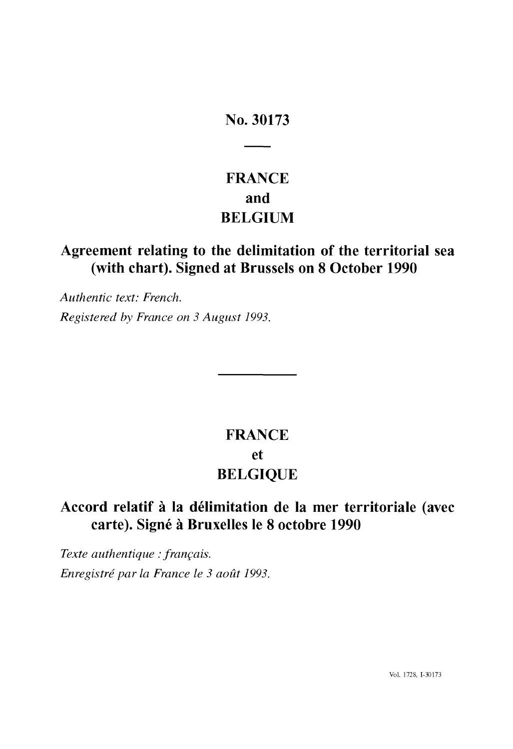## **No. 30173**

# **FRANCE and BELGIUM**

## **Agreement relating to the delimitation of the territorial sea (with chart). Signed at Brussels on 8 October 1990**

*Authentic text: French. Registered by France on 3 August 1993.*

# **FRANCE et BELGIQUE**

## **Accord relatif à la délimitation de la mer territoriale (avec carte). Signé à Bruxelles le 8 octobre 1990**

*Texte authentique : français. Enregistré par la France le 3 août 1993.*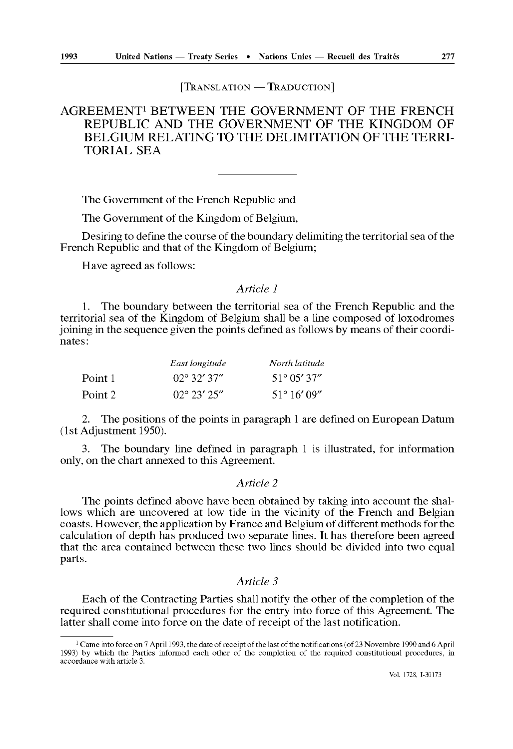### [TRANSLATION - TRADUCTION]

## AGREEMENT1 BETWEEN THE GOVERNMENT OF THE FRENCH REPUBLIC AND THE GOVERNMENT OF THE KINGDOM OF BELGIUM RELATING TO THE DELIMITATION OF THE TERRI TORIAL SEA

The Government of the French Republic and

The Government of the Kingdom of Belgium,

Desiring to define the course of the boundary delimiting the territorial sea of the French Republic and that of the Kingdom of Belgium;

Have agreed as follows:

## *Article 1*

1. The boundary between the territorial sea of the French Republic and the territorial sea of the Kingdom of Belgium shall be a line composed of loxodromes joining in the sequence given the points defined as follows by means of their coordi nates:

|         | East longitude       | North latitude        |
|---------|----------------------|-----------------------|
| Point 1 | $02^{\circ}$ 32' 37" | $51^{\circ}$ 05' 37"  |
| Point 2 | $02^{\circ}$ 23' 25" | $51^{\circ} 16' 09''$ |

2. The positions of the points in paragraph 1 are defined on European Datum (1st Adjustment 1950).

3. The boundary line defined in paragraph 1 is illustrated, for information only, on the chart annexed to this Agreement.

### *Article 2*

The points defined above have been obtained by taking into account the shal lows which are uncovered at low tide in the vicinity of the French and Belgian coasts. However, the application by France and Belgium of different methods for the calculation of depth has produced two separate lines. It has therefore been agreed that the area contained between these two lines should be divided into two equal parts.

## *Article 3*

Each of the Contracting Parties shall notify the other of the completion of the required constitutional procedures for the entry into force of this Agreement. The latter shall come into force on the date of receipt of the last notification.

<sup>1</sup> Came into force on 7 April 1993, the date of receipt of the last of the notifications (of 23 Novembre 1990 and 6 April 1993) by which the Parties informed each other of the completion of the required constitutional procedures, in accordance with article 3.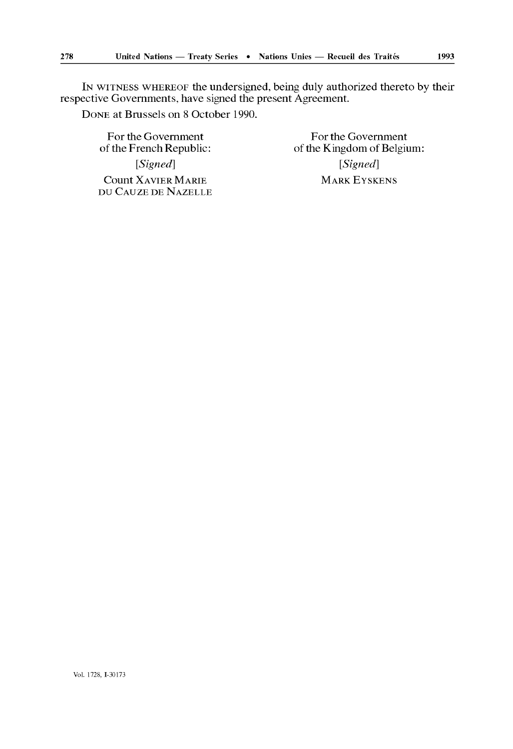IN WITNESS WHEREOF the undersigned, being duly authorized thereto by their respective Governments, have signed the present Agreement.

DONE at Brussels on 8 October 1990.

For the Government<br>of the French Republic:<br>of the Kingdom of Belgiu Count XAVIER MARIE MARK EYSKENS DU CAUZE DE NAZELLE

of the Kingdom of Belgium: *[Signed] [Signed]*